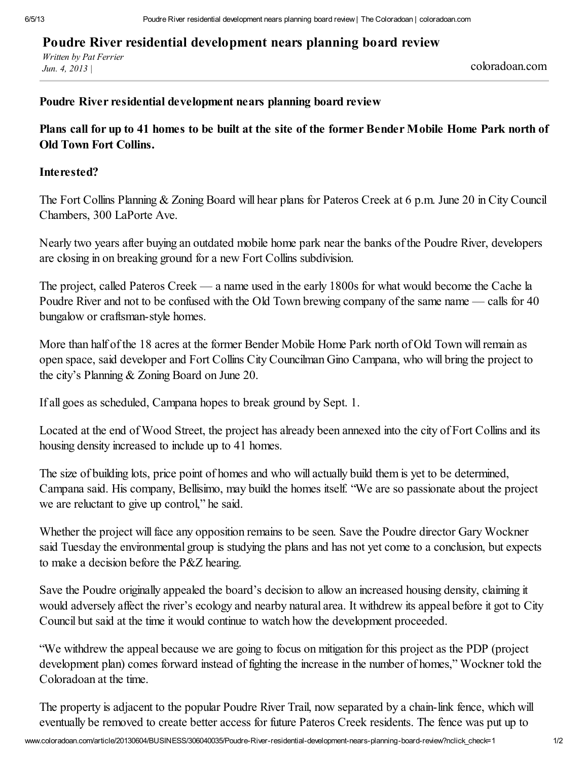## Poudre River residential development nears planning board review

*Written by Pat Ferrier Jun. 4, <sup>2013</sup> <sup>|</sup>* coloradoan.com

## Poudre River residential development nears planning board review

Plans call for up to 41 homes to be built at the site of the former Bender Mobile Home Park north of Old Town Fort Collins.

## Interested?

The Fort Collins Planning & Zoning Board will hear plans for Pateros Creek at 6 p.m. June 20 in City Council Chambers, 300 LaPorte Ave.

Nearly two years after buying an outdated mobile home park near the banks of the Poudre River, developers are closing in on breaking ground for a new Fort Collins subdivision.

The project, called Pateros Creek — a name used in the early 1800s for what would become the Cache la Poudre River and not to be confused with the Old Town brewing company of the same name — calls for 40 bungalow or craftsman-style homes.

More than half of the 18 acres at the former Bender Mobile Home Park north of Old Town will remain as open space, said developer and Fort Collins City Councilman Gino Campana, who will bring the project to the city's Planning & Zoning Board on June 20.

If all goes as scheduled, Campana hopes to break ground by Sept. 1.

Located at the end of Wood Street, the project has already been annexed into the city of Fort Collins and its housing density increased to include up to 41 homes.

The size of building lots, price point of homes and who will actually build them is yet to be determined, Campana said. His company, Bellisimo, may build the homes itself. "We are so passionate about the project we are reluctant to give up control," he said.

Whether the project will face any opposition remains to be seen. Save the Poudre director Gary Wockner said Tuesday the environmental group is studying the plans and has not yet come to a conclusion, but expects to make a decision before the P&Z hearing.

Save the Poudre originally appealed the board's decision to allow an increased housing density, claiming it would adversely affect the river's ecology and nearby natural area. It withdrew its appeal before it got to City Council but said at the time it would continue to watch how the development proceeded.

"We withdrew the appeal because we are going to focus on mitigation for this project as the PDP (project development plan) comes forward instead of fighting the increase in the number of homes," Wockner told the Coloradoan at the time.

The property is adjacent to the popular Poudre River Trail, now separated by a chain-link fence, which will eventually be removed to create better access for future Pateros Creek residents. The fence was put up to